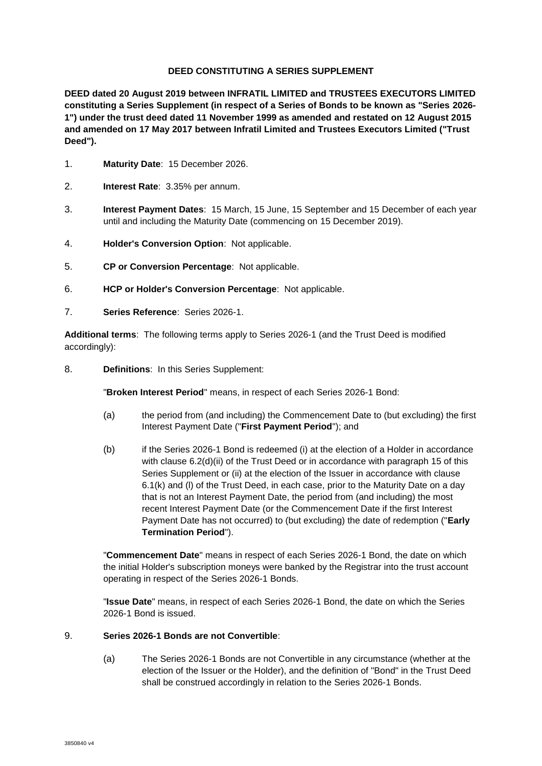### **DEED CONSTITUTING A SERIES SUPPLEMENT**

**DEED dated 20 August 2019 between INFRATIL LIMITED and TRUSTEES EXECUTORS LIMITED constituting a Series Supplement (in respect of a Series of Bonds to be known as "Series 2026- 1") under the trust deed dated 11 November 1999 as amended and restated on 12 August 2015 and amended on 17 May 2017 between Infratil Limited and Trustees Executors Limited ("Trust Deed").**

- 1. **Maturity Date**: 15 December 2026.
- 2. **Interest Rate**: 3.35% per annum.
- 3. **Interest Payment Dates**: 15 March, 15 June, 15 September and 15 December of each year until and including the Maturity Date (commencing on 15 December 2019).
- 4. **Holder's Conversion Option**: Not applicable.
- 5. **CP or Conversion Percentage**: Not applicable.
- 6. **HCP or Holder's Conversion Percentage**: Not applicable.
- 7. **Series Reference**: Series 2026-1.

**Additional terms**: The following terms apply to Series 2026-1 (and the Trust Deed is modified accordingly):

8. **Definitions**: In this Series Supplement:

"**Broken Interest Period**" means, in respect of each Series 2026-1 Bond:

- (a) the period from (and including) the Commencement Date to (but excluding) the first Interest Payment Date ("**First Payment Period**"); and
- (b) if the Series 2026-1 Bond is redeemed (i) at the election of a Holder in accordance with clause 6.2(d)(ii) of the Trust Deed or in accordance with paragraph [15](#page-1-0) of this Series Supplement or (ii) at the election of the Issuer in accordance with clause 6.1(k) and (l) of the Trust Deed, in each case, prior to the Maturity Date on a day that is not an Interest Payment Date, the period from (and including) the most recent Interest Payment Date (or the Commencement Date if the first Interest Payment Date has not occurred) to (but excluding) the date of redemption ("**Early Termination Period**").

"**Commencement Date**" means in respect of each Series 2026-1 Bond, the date on which the initial Holder's subscription moneys were banked by the Registrar into the trust account operating in respect of the Series 2026-1 Bonds.

"**Issue Date**" means, in respect of each Series 2026-1 Bond, the date on which the Series 2026-1 Bond is issued.

### 9. **Series 2026-1 Bonds are not Convertible**:

(a) The Series 2026-1 Bonds are not Convertible in any circumstance (whether at the election of the Issuer or the Holder), and the definition of "Bond" in the Trust Deed shall be construed accordingly in relation to the Series 2026-1 Bonds.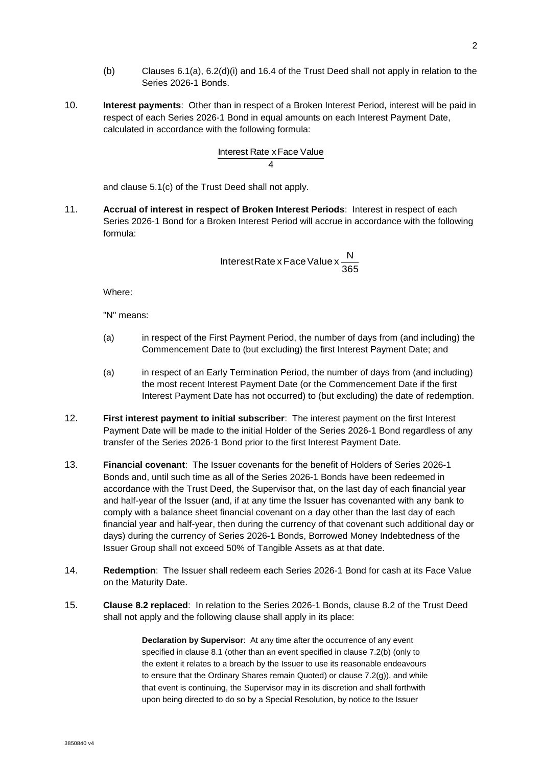- (b) Clauses 6.1(a), 6.2(d)(i) and 16.4 of the Trust Deed shall not apply in relation to the Series 2026-1 Bonds.
- 10. **Interest payments**: Other than in respect of a Broken Interest Period, interest will be paid in respect of each Series 2026-1 Bond in equal amounts on each Interest Payment Date, calculated in accordance with the following formula:

# 4 Interest Rate x Face Value

and clause 5.1(c) of the Trust Deed shall not apply.

11. **Accrual of interest in respect of Broken Interest Periods**: Interest in respect of each Series 2026-1 Bond for a Broken Interest Period will accrue in accordance with the following formula:

> 365 InterestRate x Face Value x  $\frac{N}{20}$

Where:

"N" means:

- (a) in respect of the First Payment Period, the number of days from (and including) the Commencement Date to (but excluding) the first Interest Payment Date; and
- (a) in respect of an Early Termination Period, the number of days from (and including) the most recent Interest Payment Date (or the Commencement Date if the first Interest Payment Date has not occurred) to (but excluding) the date of redemption.
- 12. **First interest payment to initial subscriber**: The interest payment on the first Interest Payment Date will be made to the initial Holder of the Series 2026-1 Bond regardless of any transfer of the Series 2026-1 Bond prior to the first Interest Payment Date.
- 13. **Financial covenant**: The Issuer covenants for the benefit of Holders of Series 2026-1 Bonds and, until such time as all of the Series 2026-1 Bonds have been redeemed in accordance with the Trust Deed, the Supervisor that, on the last day of each financial year and half-year of the Issuer (and, if at any time the Issuer has covenanted with any bank to comply with a balance sheet financial covenant on a day other than the last day of each financial year and half-year, then during the currency of that covenant such additional day or days) during the currency of Series 2026-1 Bonds, Borrowed Money Indebtedness of the Issuer Group shall not exceed 50% of Tangible Assets as at that date.
- 14. **Redemption**: The Issuer shall redeem each Series 2026-1 Bond for cash at its Face Value on the Maturity Date.
- <span id="page-1-0"></span>15. **Clause 8.2 replaced**: In relation to the Series 2026-1 Bonds, clause 8.2 of the Trust Deed shall not apply and the following clause shall apply in its place:

**Declaration by Supervisor**: At any time after the occurrence of any event specified in clause 8.1 (other than an event specified in clause 7.2(b) (only to the extent it relates to a breach by the Issuer to use its reasonable endeavours to ensure that the Ordinary Shares remain Quoted) or clause 7.2(g)), and while that event is continuing, the Supervisor may in its discretion and shall forthwith upon being directed to do so by a Special Resolution, by notice to the Issuer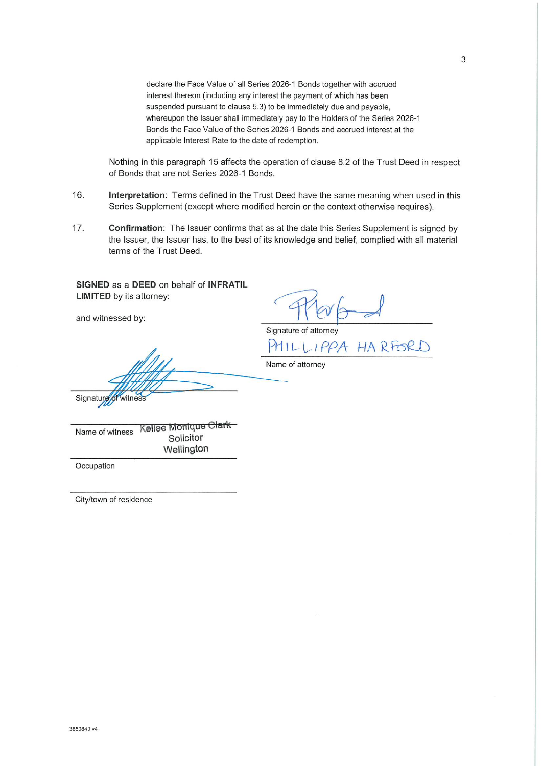declare the Face Value of all Series 2026-1 Bonds together with accrued interest thereon (including any interest the payment of which has been suspended pursuant to clause 5.3) to be immediately due and payable. whereupon the Issuer shall immediately pay to the Holders of the Series 2026-1 Bonds the Face Value of the Series 2026-1 Bonds and accrued interest at the applicable Interest Rate to the date of redemption.

Nothing in this paragraph 15 affects the operation of clause 8.2 of the Trust Deed in respect of Bonds that are not Series 2026-1 Bonds.

- 16. Interpretation: Terms defined in the Trust Deed have the same meaning when used in this Series Supplement (except where modified herein or the context otherwise requires).
- $17.$ Confirmation: The Issuer confirms that as at the date this Series Supplement is signed by the Issuer, the Issuer has, to the best of its knowledge and belief, complied with all material terms of the Trust Deed.

SIGNED as a DEED on behalf of INFRATIL **LIMITED** by its attorney:

and witnessed by:

Signature of attorney PHILLIPPA HARFORD

Name of attorney

Kellee Monique Clark Name of witness Solicitor Wellington

Occupation

Signatur

City/town of residence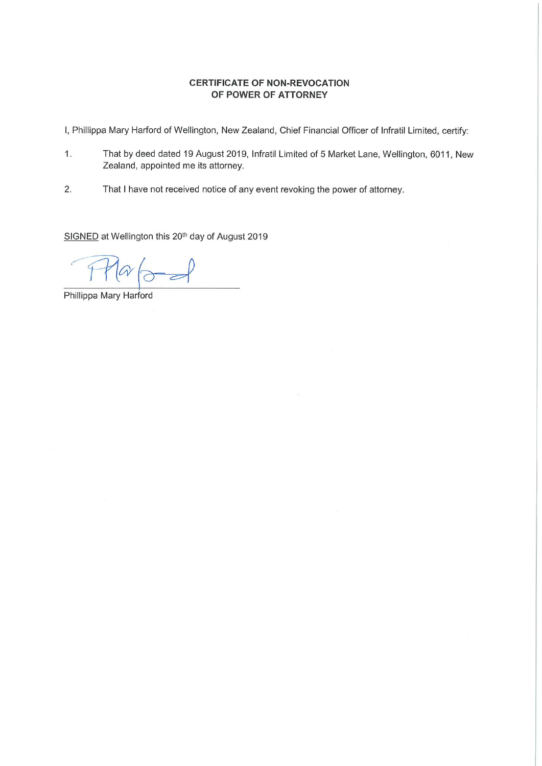## **CERTIFICATE OF NON-REVOCATION** OF POWER OF ATTORNEY

I, Phillippa Mary Harford of Wellington, New Zealand, Chief Financial Officer of Infratil Limited, certify:

- $1.$ That by deed dated 19 August 2019, Infratil Limited of 5 Market Lane, Wellington, 6011, New Zealand, appointed me its attorney.
- $2.$ That I have not received notice of any event revoking the power of attorney.

SIGNED at Wellington this 20<sup>th</sup> day of August 2019

Phillippa Mary Harford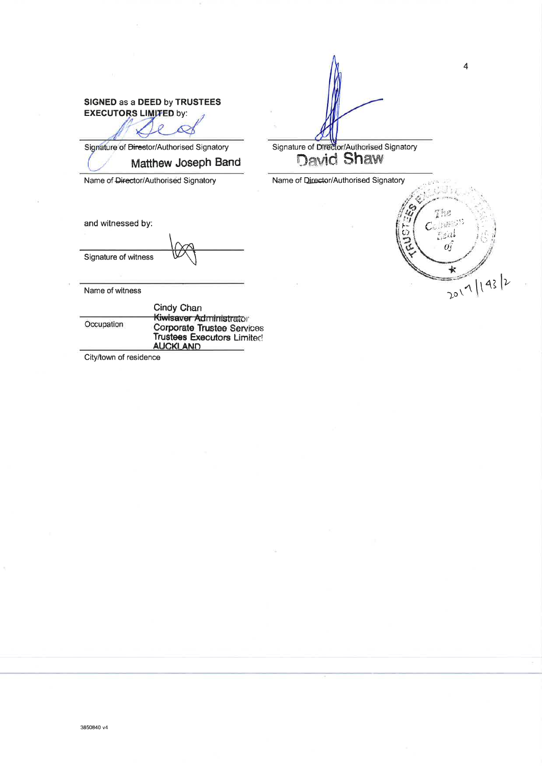## SIGNED as a DEED by TRUSTEES **EXECUTORS LIMITED by:**

Signature of Director/Authorised Signatory

Matthew Joseph Band

Name of Director/Authorised Signatory

and witnessed by:

Signature of witness

Name of witness

|            | Cindy Chan                                            |
|------------|-------------------------------------------------------|
| Occupation | Kiwisaver Administrator<br>Corporate Trustee Services |
|            | <b>Trustees Executors Limited</b><br><b>AUCKLAND</b>  |

City/town of residence

Signature of Director/Authorised Signatory<br>David Shaw

Name of Director/Authorised Signatory